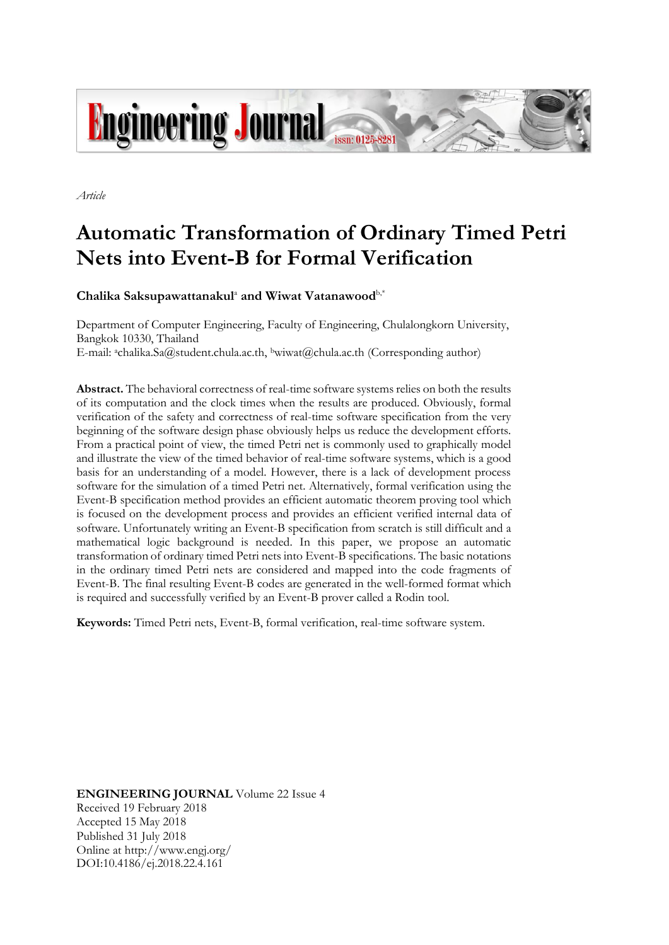

*Article*

# **Automatic Transformation of Ordinary Timed Petri Nets into Event-B for Formal Verification**

**Chalika Saksupawattanakul**<sup>a</sup> **and Wiwat Vatanawood**b,\*

Department of Computer Engineering, Faculty of Engineering, Chulalongkorn University, Bangkok 10330, Thailand E-mail: achalika.Sa@student.chula.ac.th, bwiwat@chula.ac.th (Corresponding author)

**Abstract.** The behavioral correctness of real-time software systemsrelies on both the results of its computation and the clock times when the results are produced. Obviously, formal verification of the safety and correctness of real-time software specification from the very beginning of the software design phase obviously helps us reduce the development efforts. From a practical point of view, the timed Petri net is commonly used to graphically model and illustrate the view of the timed behavior of real-time software systems, which is a good basis for an understanding of a model. However, there is a lack of development process software for the simulation of a timed Petri net. Alternatively, formal verification using the Event-B specification method provides an efficient automatic theorem proving tool which is focused on the development process and provides an efficient verified internal data of software. Unfortunately writing an Event-B specification from scratch is still difficult and a mathematical logic background is needed. In this paper, we propose an automatic transformation of ordinary timed Petri nets into Event-B specifications. The basic notations in the ordinary timed Petri nets are considered and mapped into the code fragments of Event-B. The final resulting Event-B codes are generated in the well-formed format which is required and successfully verified by an Event-B prover called a Rodin tool.

**Keywords:** Timed Petri nets, Event-B, formal verification, real-time software system.

**ENGINEERING JOURNAL** Volume 22 Issue 4 Received 19 February 2018 Accepted 15 May 2018 Published 31 July 2018 Online at http://www.engj.org/ DOI:10.4186/ej.2018.22.4.161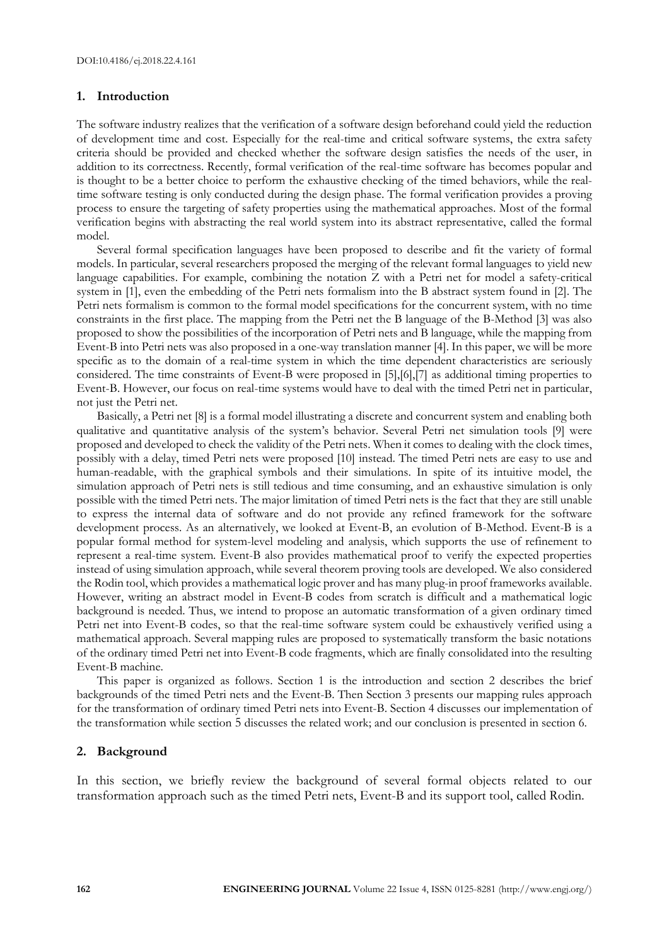# **1. Introduction**

The software industry realizes that the verification of a software design beforehand could yield the reduction of development time and cost. Especially for the real-time and critical software systems, the extra safety criteria should be provided and checked whether the software design satisfies the needs of the user, in addition to its correctness. Recently, formal verification of the real-time software has becomes popular and is thought to be a better choice to perform the exhaustive checking of the timed behaviors, while the realtime software testing is only conducted during the design phase. The formal verification provides a proving process to ensure the targeting of safety properties using the mathematical approaches. Most of the formal verification begins with abstracting the real world system into its abstract representative, called the formal model.

Several formal specification languages have been proposed to describe and fit the variety of formal models. In particular, several researchers proposed the merging of the relevant formal languages to yield new language capabilities. For example, combining the notation Z with a Petri net for model a safety-critical system in [1], even the embedding of the Petri nets formalism into the B abstract system found in [2]. The Petri nets formalism is common to the formal model specifications for the concurrent system, with no time constraints in the first place. The mapping from the Petri net the B language of the B-Method [3] was also proposed to show the possibilities of the incorporation of Petri nets and B language, while the mapping from Event-B into Petri nets was also proposed in a one-way translation manner [4]. In this paper, we will be more specific as to the domain of a real-time system in which the time dependent characteristics are seriously considered. The time constraints of Event-B were proposed in [5],[6],[7] as additional timing properties to Event-B. However, our focus on real-time systems would have to deal with the timed Petri net in particular, not just the Petri net.

Basically, a Petri net [8] is a formal model illustrating a discrete and concurrent system and enabling both qualitative and quantitative analysis of the system's behavior. Several Petri net simulation tools [9] were proposed and developed to check the validity of the Petri nets. When it comes to dealing with the clock times, possibly with a delay, timed Petri nets were proposed [10] instead. The timed Petri nets are easy to use and human-readable, with the graphical symbols and their simulations. In spite of its intuitive model, the simulation approach of Petri nets is still tedious and time consuming, and an exhaustive simulation is only possible with the timed Petri nets. The major limitation of timed Petri nets is the fact that they are still unable to express the internal data of software and do not provide any refined framework for the software development process. As an alternatively, we looked at Event-B, an evolution of B-Method. Event-B is a popular formal method for system-level modeling and analysis, which supports the use of refinement to represent a real-time system. Event-B also provides mathematical proof to verify the expected properties instead of using simulation approach, while several theorem proving tools are developed. We also considered the Rodin tool, which provides a mathematical logic prover and has many plug-in proof frameworks available. However, writing an abstract model in Event-B codes from scratch is difficult and a mathematical logic background is needed. Thus, we intend to propose an automatic transformation of a given ordinary timed Petri net into Event-B codes, so that the real-time software system could be exhaustively verified using a mathematical approach. Several mapping rules are proposed to systematically transform the basic notations of the ordinary timed Petri net into Event-B code fragments, which are finally consolidated into the resulting Event-B machine.

This paper is organized as follows. Section 1 is the introduction and section 2 describes the brief backgrounds of the timed Petri nets and the Event-B. Then Section 3 presents our mapping rules approach for the transformation of ordinary timed Petri nets into Event-B. Section 4 discusses our implementation of the transformation while section 5 discusses the related work; and our conclusion is presented in section 6.

## **2. Background**

In this section, we briefly review the background of several formal objects related to our transformation approach such as the timed Petri nets, Event-B and its support tool, called Rodin.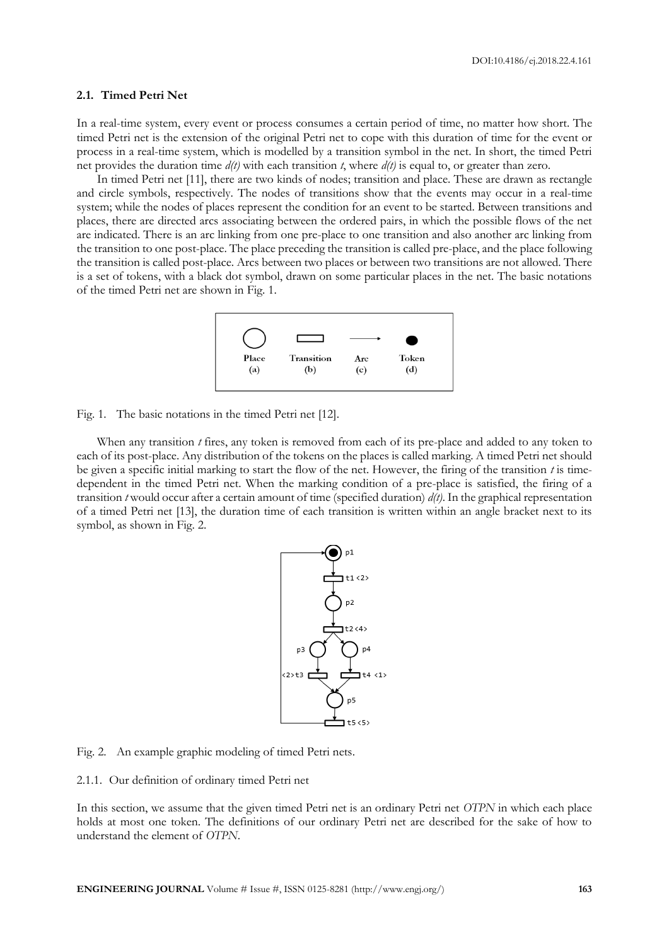## **2.1. Timed Petri Net**

In a real-time system, every event or process consumes a certain period of time, no matter how short. The timed Petri net is the extension of the original Petri net to cope with this duration of time for the event or process in a real-time system, which is modelled by a transition symbol in the net. In short, the timed Petri net provides the duration time *d(t)* with each transition *t*, where *d(t)* is equal to, or greater than zero.

In timed Petri net [11], there are two kinds of nodes; transition and place. These are drawn as rectangle and circle symbols, respectively. The nodes of transitions show that the events may occur in a real-time system; while the nodes of places represent the condition for an event to be started. Between transitions and places, there are directed arcs associating between the ordered pairs, in which the possible flows of the net are indicated. There is an arc linking from one pre-place to one transition and also another arc linking from the transition to one post-place. The place preceding the transition is called pre-place, and the place following the transition is called post-place. Arcs between two places or between two transitions are not allowed. There is a set of tokens, with a black dot symbol, drawn on some particular places in the net. The basic notations of the timed Petri net are shown in Fig. 1.



Fig. 1. The basic notations in the timed Petri net [\[12\].](#page-14-0)

When any transition *t* fires, any token is removed from each of its pre-place and added to any token to each of its post-place. Any distribution of the tokens on the places is called marking. A timed Petri net should be given a specific initial marking to start the flow of the net. However, the firing of the transition *t* is timedependent in the timed Petri net. When the marking condition of a pre-place is satisfied, the firing of a transition *t* would occur after a certain amount of time (specified duration) *d(t)*. In the graphical representation of a timed Petri net [13], the duration time of each transition is written within an angle bracket next to its symbol, as shown in Fig. 2.



Fig. 2. An example graphic modeling of timed Petri nets.

2.1.1. Our definition of ordinary timed Petri net

In this section, we assume that the given timed Petri net is an ordinary Petri net *OTPN* in which each place holds at most one token. The definitions of our ordinary Petri net are described for the sake of how to understand the element of *OTPN*.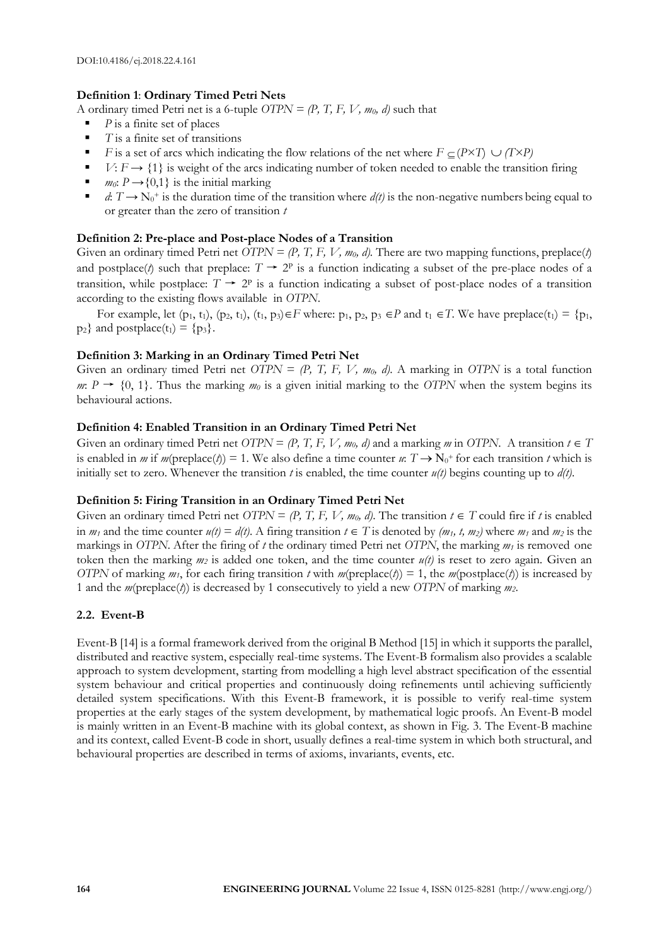# **Definition 1**: **Ordinary Timed Petri Nets**

A ordinary timed Petri net is a 6-tuple  $OTPN = (P, T, F, V, m_0, d)$  such that

- *P* is a finite set of places
- *T* is a finite set of transitions
- **F** is a set of arcs which indicating the flow relations of the net where  $F \subseteq (P \times T) \cup (T \times P)$
- $V: F \rightarrow \{1\}$  is weight of the arcs indicating number of token needed to enable the transition firing
- *m*<sub>0</sub>:  $P \rightarrow \{0,1\}$  is the initial marking
- $d: T \to N_0^+$  is the duration time of the transition where  $d(t)$  is the non-negative numbers being equal to or greater than the zero of transition *t*

## **Definition 2: Pre-place and Post-place Nodes of a Transition**

Given an ordinary timed Petri net *OTPN* =  $(P, T, F, V, m_0, d)$ . There are two mapping functions, preplace(*t*) and postplace(*t*) such that preplace:  $T \rightarrow 2^p$  is a function indicating a subset of the pre-place nodes of a transition, while postplace:  $T \rightarrow 2^p$  is a function indicating a subset of post-place nodes of a transition according to the existing flows available in *OTPN*.

For example, let  $(p_1, t_1)$ ,  $(p_2, t_1)$ ,  $(t_1, p_3) \in F$  where:  $p_1, p_2, p_3 \in P$  and  $t_1 \in T$ . We have preplace $(t_1) = \{p_1, p_2, p_3, p_4, p_5, p_6, p_7, p_8, p_9, p_{10}\}$  $p_2$ } and postplace(t<sub>1</sub>) = { $p_3$ }.

## **Definition 3: Marking in an Ordinary Timed Petri Net**

Given an ordinary timed Petri net  $OTPN = (P, T, F, V, m_0, d)$ . A marking in *OTPN* is a total function *m*:  $P \rightarrow \{0, 1\}$ . Thus the marking *m*<sup>0</sup> is a given initial marking to the *OTPN* when the system begins its behavioural actions.

#### **Definition 4: Enabled Transition in an Ordinary Timed Petri Net**

Given an ordinary timed Petri net  $OTPN = (P, T, F, V, m_0, d)$  and a marking *m* in *OTPN*. A transition  $t \in T$ is enabled in *m* if *m*(preplace(*t*)) = 1. We also define a time counter *u*:  $T \rightarrow N_0$ <sup>+</sup> for each transition *t* which is initially set to zero. Whenever the transition *t* is enabled, the time counter  $u(t)$  begins counting up to  $d(t)$ .

# **Definition 5: Firing Transition in an Ordinary Timed Petri Net**

Given an ordinary timed Petri net *OTPN* =  $(P, T, F, V, m_0, d)$ . The transition  $t \in T$  could fire if t is enabled in  $m_1$  and the time counter  $u(t) = d(t)$ . A firing transition  $t \in T$  is denoted by  $(m_1, t, m_2)$  where  $m_1$  and  $m_2$  is the markings in *OTPN*. After the firing of *t* the ordinary timed Petri net *OTPN*, the marking *m<sup>1</sup>* is removed one token then the marking *m<sup>2</sup>* is added one token, and the time counter *u(t)* is reset to zero again. Given an *OTPN* of marking  $m_1$ , for each firing transition *t* with  $m(\text{preplace}(t)) = 1$ , the  $m(\text{postplace}(t))$  is increased by 1 and the *m*(preplace(*t*)) is decreased by 1 consecutively to yield a new *OTPN* of marking *m2*.

## **2.2. Event-B**

Event-B [14] is a formal framework derived from the original B Method [15] in which it supports the parallel, distributed and reactive system, especially real-time systems. The Event-B formalism also provides a scalable approach to system development, starting from modelling a high level abstract specification of the essential system behaviour and critical properties and continuously doing refinements until achieving sufficiently detailed system specifications. With this Event-B framework, it is possible to verify real-time system properties at the early stages of the system development, by mathematical logic proofs. An Event-B model is mainly written in an Event-B machine with its global context, as shown in Fig. 3. The Event-B machine and its context, called Event-B code in short, usually defines a real-time system in which both structural, and behavioural properties are described in terms of axioms, invariants, events, etc.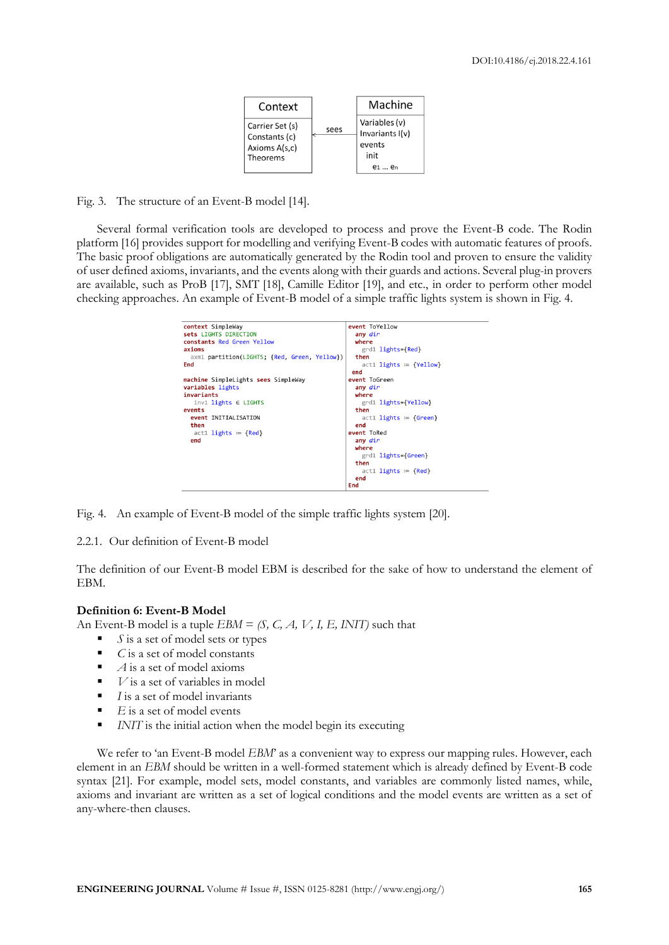| Context                                                       |      | Machine                                                              |
|---------------------------------------------------------------|------|----------------------------------------------------------------------|
| Carrier Set (s)<br>Constants (c)<br>Axioms A(s,c)<br>Theorems | sees | Variables (v)<br>Invariants I(v)<br>events<br>init<br>$P1 \ldots Pn$ |

Fig. 3. The structure of an Event-B model [\[14\].](#page-14-1)

Several formal verification tools are developed to process and prove the Event-B code. The Rodin platform [\[16\]](#page-14-2) provides support for modelling and verifying Event-B codes with automatic features of proofs. The basic proof obligations are automatically generated by the Rodin tool and proven to ensure the validity of user defined axioms, invariants, and the events along with their guards and actions. Several plug-in provers are available, such as ProB [\[17\],](#page-14-3) SMT [\[18\],](#page-14-4) Camille Editor [\[19\],](#page-14-5) and etc., in order to perform other model checking approaches. An example of Event-B model of a simple traffic lights system is shown in Fig. 4.



Fig. 4. An example of Event-B model of the simple traffic lights system [\[20\].](#page-14-6)

#### 2.2.1. Our definition of Event-B model

The definition of our Event-B model EBM is described for the sake of how to understand the element of EBM.

#### **Definition 6: Event-B Model**

An Event-B model is a tuple *EBM* = *(S, C, A, V, I, E, INIT)* such that

- *S* is a set of model sets or types
- *C* is a set of model constants
- $\blacksquare$  *A* is a set of model axioms
- $\blacksquare$  *V* is a set of variables in model
- *I* is a set of model invariants
- $E$  is a set of model events
- *INIT* is the initial action when the model begin its executing

We refer to 'an Event-B model *EBM'* as a convenient way to express our mapping rules. However, each element in an *EBM* should be written in a well-formed statement which is already defined by Event-B code syntax [\[21\].](#page-14-7) For example, model sets, model constants, and variables are commonly listed names, while, axioms and invariant are written as a set of logical conditions and the model events are written as a set of any-where-then clauses.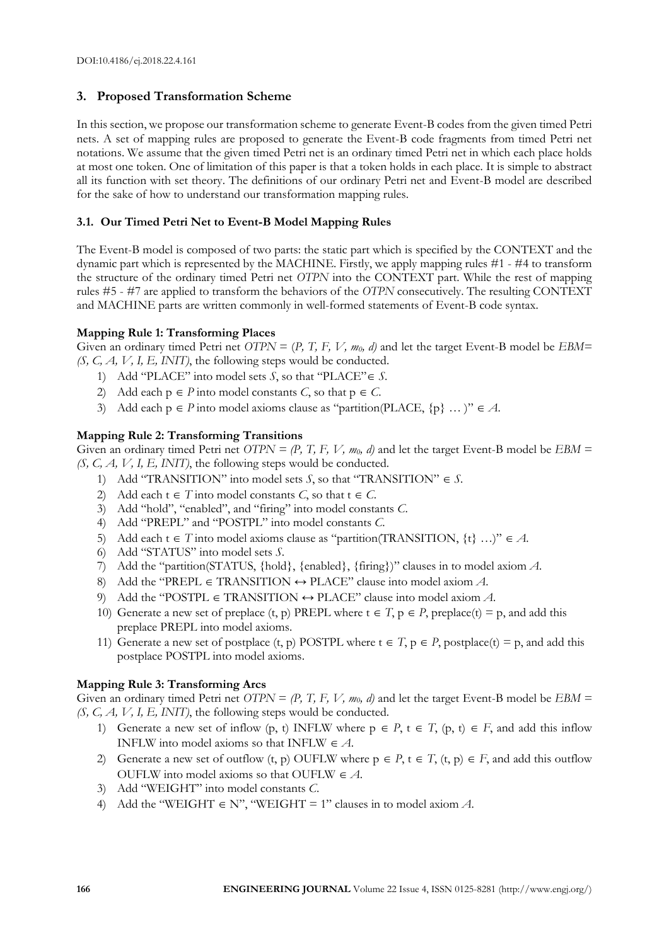# **3. Proposed Transformation Scheme**

In this section, we propose our transformation scheme to generate Event-B codes from the given timed Petri nets. A set of mapping rules are proposed to generate the Event-B code fragments from timed Petri net notations. We assume that the given timed Petri net is an ordinary timed Petri net in which each place holds at most one token. One of limitation of this paper is that a token holds in each place. It is simple to abstract all its function with set theory. The definitions of our ordinary Petri net and Event-B model are described for the sake of how to understand our transformation mapping rules.

# **3.1. Our Timed Petri Net to Event-B Model Mapping Rules**

The Event-B model is composed of two parts: the static part which is specified by the CONTEXT and the dynamic part which is represented by the MACHINE. Firstly, we apply mapping rules #1 - #4 to transform the structure of the ordinary timed Petri net *OTPN* into the CONTEXT part. While the rest of mapping rules #5 - #7 are applied to transform the behaviors of the *OTPN* consecutively. The resulting CONTEXT and MACHINE parts are written commonly in well-formed statements of Event-B code syntax.

# **Mapping Rule 1: Transforming Places**

Given an ordinary timed Petri net *OTPN* = (*P*, *T*, *F*, *V*, *m*<sub>0</sub>*, d*) and let the target Event-B model be *EBM*= *(S, C, A, V, I, E, INIT)*, the following steps would be conducted.

- 1) Add "PLACE" into model sets *S*, so that "PLACE"  $\in$  *S*.
- 2) Add each  $p \in P$  into model constants *C*, so that  $p \in C$ .
- 3) Add each  $p \in P$  into model axioms clause as "partition(PLACE,  $\{p\}$  ...)"  $\in A$ .

# **Mapping Rule 2: Transforming Transitions**

Given an ordinary timed Petri net *OTPN* = (P, T, F, V,  $m_0$ , d) and let the target Event-B model be *EBM* = *(S, C, A, V, I, E, INIT)*, the following steps would be conducted.

- 1) Add "TRANSITION" into model sets *S*, so that "TRANSITION"  $\in$  *S*.
- 2) Add each  $t \in T$  into model constants *C*, so that  $t \in C$ .
- 3) Add "hold", "enabled", and "firing" into model constants *C*.
- 4) Add "PREPL" and "POSTPL" into model constants *C*.
- 5) Add each  $t \in T$  into model axioms clause as "partition(TRANSITION,  $\{t\}$  ...)"  $\in A$ .
- 6) Add "STATUS" into model sets *S*.
- 7) Add the "partition(STATUS, {hold}, {enabled}, {firing})" clauses in to model axiom *A*.
- 8) Add the "PREPL  $\in$  TRANSITION  $\leftrightarrow$  PLACE" clause into model axiom A.
- 9) Add the "POSTPL  $\in$  TRANSITION  $\leftrightarrow$  PLACE" clause into model axiom *A*.
- 10) Generate a new set of preplace  $(t, p)$  PREPL where  $t \in T$ ,  $p \in P$ , preplace $(t) = p$ , and add this preplace PREPL into model axioms.
- 11) Generate a new set of postplace (t, p) POSTPL where  $t \in T$ ,  $p \in P$ , postplace(t) = p, and add this postplace POSTPL into model axioms.

## **Mapping Rule 3: Transforming Arcs**

Given an ordinary timed Petri net *OTPN* =  $(P, T, F, V, m_0, d)$  and let the target Event-B model be  $EBM =$ *(S, C, A, V, I, E, INIT)*, the following steps would be conducted.

- 1) Generate a new set of inflow (p, t) INFLW where  $p \in P$ ,  $t \in T$ , (p, t)  $\in F$ , and add this inflow INFLW into model axioms so that INFLW  $\in$  *A*.
- 2) Generate a new set of outflow  $(t, p)$  OUFLW where  $p \in P$ ,  $t \in T$ ,  $(t, p) \in F$ , and add this outflow OUFLW into model axioms so that OUFLW  $\in$  A.
- 3) Add "WEIGHT" into model constants *C*.
- 4) Add the "WEIGHT  $\in$  N", "WEIGHT = 1" clauses in to model axiom A.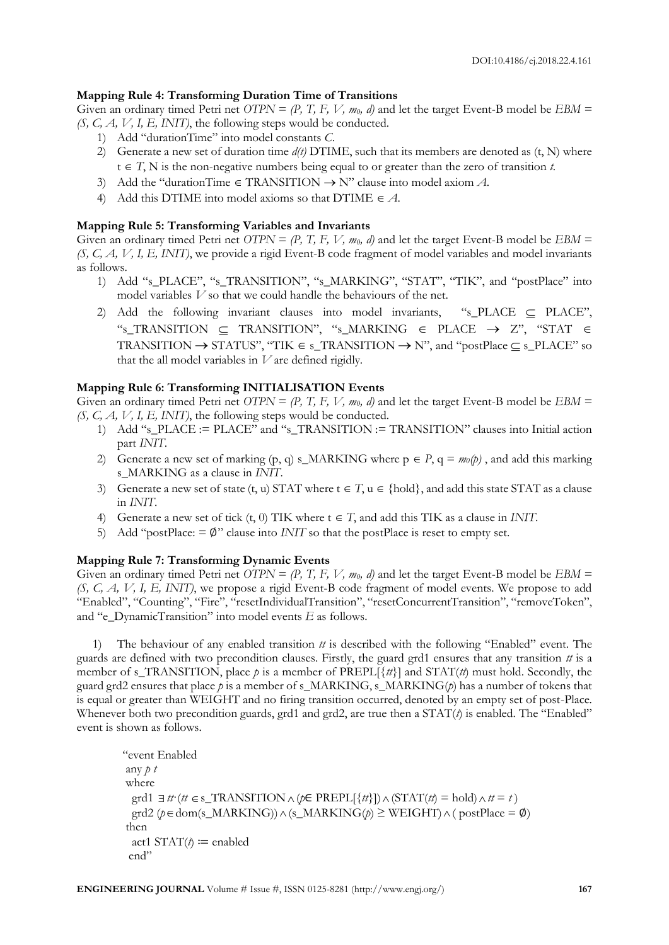# **Mapping Rule 4: Transforming Duration Time of Transitions**

Given an ordinary timed Petri net  $OTPN = (P, T, F, V, m_0, d)$  and let the target Event-B model be  $EBM =$ *(S, C, A, V, I, E, INIT)*, the following steps would be conducted.

- 1) Add "durationTime" into model constants *C*.
- 2) Generate a new set of duration time *d(t)* DTIME, such that its members are denoted as (t, N) where  $t \in T$ , N is the non-negative numbers being equal to or greater than the zero of transition *t*.
- 3) Add the "durationTime  $\in$  TRANSITION  $\rightarrow$  N" clause into model axiom A.
- 4) Add this DTIME into model axioms so that DTIME  $\in$  *A*.

# **Mapping Rule 5: Transforming Variables and Invariants**

Given an ordinary timed Petri net *OTPN* = *(P, T, F, V, m<sub>0</sub>, d)* and let the target Event-B model be *EBM* = *(S, C, A, V, I, E, INIT)*, we provide a rigid Event-B code fragment of model variables and model invariants as follows.

- 1) Add "s\_PLACE", "s\_TRANSITION", "s\_MARKING", "STAT", "TIK", and "postPlace" into model variables *V* so that we could handle the behaviours of the net.
- 2) Add the following invariant clauses into model invariants, "s\_PLACE  $\subseteq$  PLACE", "s\_TRANSITION  $\subseteq$  TRANSITION", "s\_MARKING  $\in$  PLACE  $\rightarrow$  Z", "STAT  $\in$ TRANSITION  $\rightarrow$  STATUS", "TIK  $\in$  s\_TRANSITION  $\rightarrow$  N", and "postPlace  $\subset$  s\_PLACE" so that the all model variables in *V* are defined rigidly.

# **Mapping Rule 6: Transforming INITIALISATION Events**

Given an ordinary timed Petri net *OTPN* = *(P, T, F, V, m<sub>0</sub>, d)* and let the target Event-B model be *EBM* = *(S, C, A, V, I, E, INIT)*, the following steps would be conducted.

- 1) Add "s\_PLACE := PLACE" and "s\_TRANSITION := TRANSITION" clauses into Initial action part *INIT*.
- 2) Generate a new set of marking  $(p, q)$  s\_MARKING where  $p \in P$ ,  $q = m_0(p)$ , and add this marking s\_MARKING as a clause in *INIT*.
- 3) Generate a new set of state (t, u) STAT where  $t \in T$ ,  $u \in \{hold\}$ , and add this state STAT as a clause in *INIT*.
- 4) Generate a new set of tick  $(t, 0)$  TIK where  $t \in T$ , and add this TIK as a clause in *INIT*.
- 5) Add "postPlace: = ∅" clause into *INIT* so that the postPlace is reset to empty set.

# **Mapping Rule 7: Transforming Dynamic Events**

Given an ordinary timed Petri net *OTPN* = *(P, T, F, V, m<sub>0</sub>, d)* and let the target Event-B model be *EBM* = *(S, C, A, V, I, E, INIT)*, we propose a rigid Event-B code fragment of model events. We propose to add "Enabled", "Counting", "Fire", "resetIndividualTransition", "resetConcurrentTransition", "removeToken", and "e\_DynamicTransition" into model events *E* as follows.

1) The behaviour of any enabled transition *tt* is described with the following "Enabled" event. The guards are defined with two precondition clauses. Firstly, the guard grd1 ensures that any transition *tt* is a member of s\_TRANSITION, place  $p$  is a member of PREPL[ $\{tt\}$ ] and STAT( $tt$ ) must hold. Secondly, the guard grd2 ensures that place *p* is a member of s\_MARKING, s\_MARKING(*p*) has a number of tokens that is equal or greater than WEIGHT and no firing transition occurred, denoted by an empty set of post-Place. Whenever both two precondition guards, grd1 and grd2, are true then a STAT(*t*) is enabled. The "Enabled" event is shown as follows.

```
"event Enabled
any p t
where
grd1 \exists tt·(tt \in s_TRANSITION \land (p \in PREPL[{tt}])\land (STAT(tt) = hold)\land tt = t)
\gcd (p \in \text{dom}(s\_MARKING)) \land (s\_MARKING(p) \geq \text{WEIGHT}) \land (\text{postPlace} = \emptyset)
then
   act1 STAT(t) ≔ enabled
  end"
```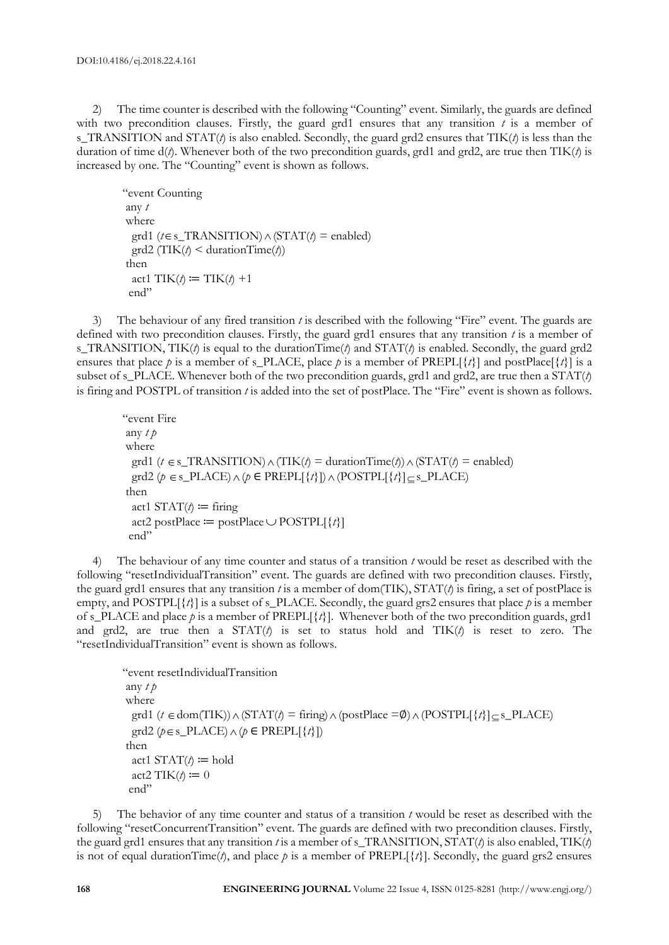2) The time counter is described with the following "Counting" event. Similarly, the guards are defined with two precondition clauses. Firstly, the guard grd1 ensures that any transition  $t$  is a member of s\_TRANSITION and STAT(*t*) is also enabled. Secondly, the guard grd2 ensures that TIK(*t*) is less than the duration of time d(*t*). Whenever both of the two precondition guards, grd1 and grd2, are true then TIK(*t*) is increased by one. The "Counting" event is shown as follows.

```
"event Counting
any t
where
grd1 (t \in s_TRANSITION) \wedge (STAT(t) = enabled)
  grd2 (TIK(t) < durationTime(t))
then
 act1 TIK(t) \coloneqq TIK(t) +1
  end"
```
3) The behaviour of any fired transition *t* is described with the following "Fire" event. The guards are defined with two precondition clauses. Firstly, the guard grd1 ensures that any transition *t* is a member of s\_TRANSITION, TIK(*t*) is equal to the durationTime(*t*) and STAT(*t*) is enabled. Secondly, the guard grd2 ensures that place *p* is a member of s\_PLACE, place *p* is a member of PREPL[{*t*}] and postPlace[{*t*}] is a subset of s\_PLACE. Whenever both of the two precondition guards, grd1 and grd2, are true then a  $STAT(\lambda)$ is firing and POSTPL of transition *t* is added into the set of postPlace. The "Fire" event is shown as follows.

"event Fire any *t p* where grd1 ( $t \in s$ \_TRANSITION)  $\wedge$  (TIK( $t$ ) = durationTime( $t$ ))  $\wedge$  (STAT( $t$ ) = enabled)  $\gcd 2 (\rho \in s\_PLACE) \land (\rho \in PREPL[\{\tau\}]) \land (POSTPL[\{\tau\}] \subseteq s\_PLACE)$ then act1  $STAT(t) \coloneqq$  firing act2 postPlace  $:=$  postPlace  $\cup$  POSTPL[{*t*}] end"

4) The behaviour of any time counter and status of a transition *t* would be reset as described with the following "resetIndividualTransition" event. The guards are defined with two precondition clauses. Firstly, the guard grd1 ensures that any transition *t* is a member of dom(TIK), STAT(*t*) is firing, a set of postPlace is empty, and POSTPL $\{\{t\}\}\$ is a subset of s\_PLACE. Secondly, the guard grs2 ensures that place *p* is a member of s\_PLACE and place *p* is a member of PREPL[{*t*}]. Whenever both of the two precondition guards, grd1 and grd2, are true then a STAT(*t*) is set to status hold and TIK(*t*) is reset to zero. The "resetIndividualTransition" event is shown as follows.

```
"event resetIndividualTransition
any t p
where
grd1 (t \in \text{dom(TIK)}) \wedge (\text{STAT}(t) = \text{fring}) \wedge (\text{postPlace} = \emptyset) \wedge (\text{POSTPL}[\{t\}] \subseteq \text{s\_PLACE})\text{grd2 } (\phi \in \text{s\_PLACE}) \land (\phi \in \text{PREPL}[\{t\}])then
  act1 STAT(t) \coloneqq hold
  act2 TIK(t) \coloneqq 0 end"
```
5) The behavior of any time counter and status of a transition *t* would be reset as described with the following "resetConcurrentTransition" event. The guards are defined with two precondition clauses. Firstly, the guard grd1 ensures that any transition *t* is a member of s\_TRANSITION, STAT(*t*) is also enabled, TIK(*t*) is not of equal durationTime( $\ell$ ), and place  $\ell$  is a member of PREPL[ $\{\ell\}$ ]. Secondly, the guard grs2 ensures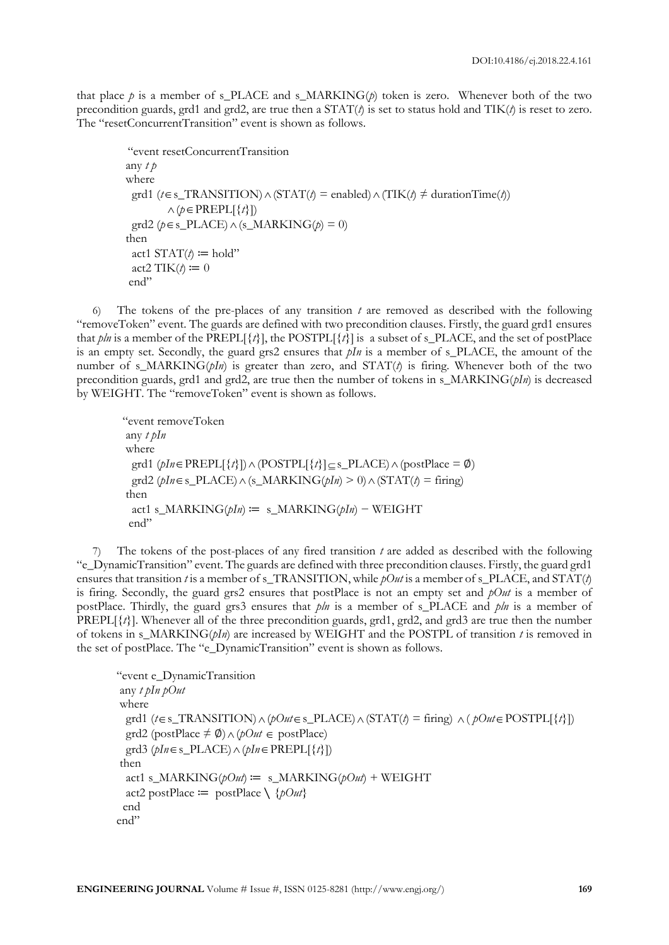that place  $p$  is a member of s\_PLACE and s\_MARKING $(p)$  token is zero. Whenever both of the two precondition guards, grd1 and grd2, are true then a  $STAT(\ell)$  is set to status hold and  $TIK(\ell)$  is reset to zero. The "resetConcurrentTransition" event is shown as follows.

```
 "event resetConcurrentTransition
any t p
where
grd1 (t \in s_TTRANSITION) \land (STAT(t) = enabled) \land (TIK(t) \neq durationTime(t))
\wedge (p \in \mathrm{PREPL}[\{t\}])grd2 (p \in s_PLACE) \wedge (s_MARKING(p) = 0)
then
 act1 STAT(t) \coloneqq hold"
 act2 TIK(t) \coloneqq 0 end"
```
6) The tokens of the pre-places of any transition *t* are removed as described with the following "removeToken" event. The guards are defined with two precondition clauses. Firstly, the guard grd1 ensures that *pln* is a member of the PREPL[ $\{t\}$ ], the POSTPL[ $\{\tilde{t}\}$ ] is a subset of s\_PLACE, and the set of postPlace is an empty set. Secondly, the guard grs2 ensures that *pIn* is a member of s PLACE, the amount of the number of s MARKING( $pIn$ ) is greater than zero, and STAT( $t$ ) is firing. Whenever both of the two precondition guards, grd1 and grd2, are true then the number of tokens in s\_MARKING( $pIn$ ) is decreased by WEIGHT. The "removeToken" event is shown as follows.

```
"event removeToken
any t pIn
where
\gcd 1 (\text{pln} \in \text{PREPL}[\{t\}]) \wedge (\text{POSTPL}[\{t\}] \subseteq \text{s\_PLACE}) \wedge (\text{postPlace} = \emptyset)\text{grad2 } (pln \in \text{s\_PLACE}) \wedge (\text{s\_MARKING}(pln) \geq 0) \wedge (\text{STAT}(t) = \text{fring})then
   act1 s_MARKING(pIn) ≔ s_MARKING(pIn) − WEIGHT
  end"
```
7) The tokens of the post-places of any fired transition *t* are added as described with the following "e\_DynamicTransition" event. The guards are defined with three precondition clauses. Firstly, the guard grd1 ensures that transition *t* is a member of s\_TRANSITION, while *pOut* is a member of s\_PLACE, and STAT(*t*) is firing. Secondly, the guard grs2 ensures that postPlace is not an empty set and *pOut* is a member of postPlace. Thirdly, the guard grs3 ensures that *pln* is a member of s\_PLACE and *pln* is a member of PREPL[{*t*}]. Whenever all of the three precondition guards, grd1, grd2, and grd3 are true then the number of tokens in s\_MARKING(*pIn*) are increased by WEIGHT and the POSTPL of transition *t* is removed in the set of postPlace. The "e\_DynamicTransition" event is shown as follows.

```
"event e_DynamicTransition
any t \deltaIn \deltaOut
where
grd1 (t \in s_TRANSITION) \land (pOut \in s_PLACE) \land (STAT(t) = firing) \land (pOut \in POSTPL[\{t\}])
grd2 (postPlace \neq ∅) ∧ (pOut ∈ postPlace)
\text{grd}3 \ (\text{pln} \in \text{s\_PLACE}) \land (\text{pln} \in \text{PREPL}[\{t\}])then
  act1 s_MARKING(pOut) = s_MARKING(pOut) + WEIGHT
   act2 postPlace ≔ postPlace ∖ {pOut}
  end
end"
```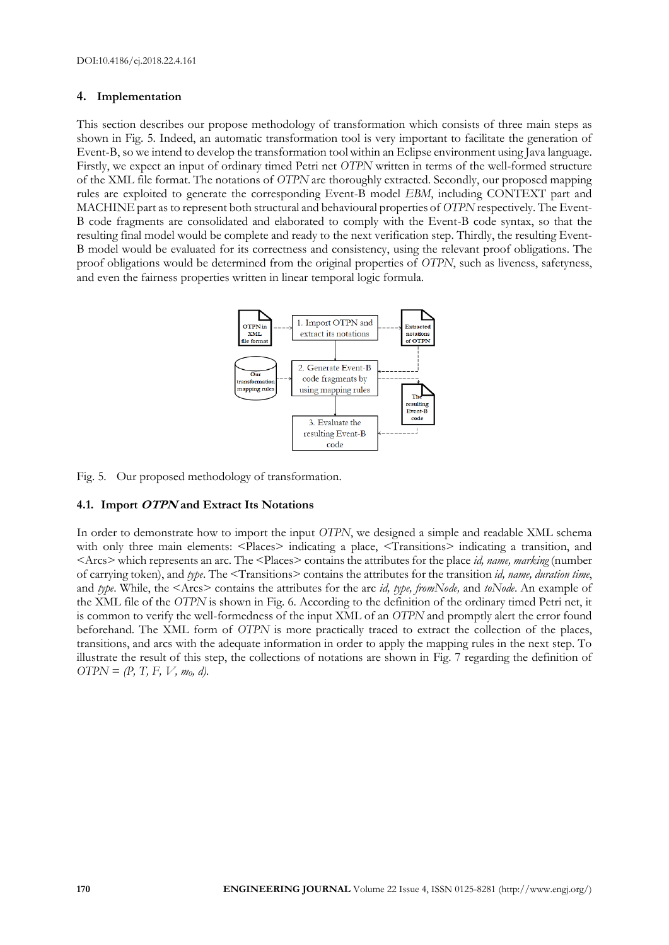# **4. Implementation**

This section describes our propose methodology of transformation which consists of three main steps as shown in Fig. 5. Indeed, an automatic transformation tool is very important to facilitate the generation of Event-B, so we intend to develop the transformation toolwithin an Eclipse environment using Java language. Firstly, we expect an input of ordinary timed Petri net *OTPN* written in terms of the well-formed structure of the XML file format. The notations of *OTPN* are thoroughly extracted. Secondly, our proposed mapping rules are exploited to generate the corresponding Event-B model *EBM*, including CONTEXT part and MACHINE part as to represent both structural and behavioural properties of *OTPN* respectively. The Event-B code fragments are consolidated and elaborated to comply with the Event-B code syntax, so that the resulting final model would be complete and ready to the next verification step. Thirdly, the resulting Event-B model would be evaluated for its correctness and consistency, using the relevant proof obligations. The proof obligations would be determined from the original properties of *OTPN*, such as liveness, safetyness, and even the fairness properties written in linear temporal logic formula.



Fig. 5. Our proposed methodology of transformation.

## **4.1. Import OTPN and Extract Its Notations**

In order to demonstrate how to import the input *OTPN*, we designed a simple and readable XML schema with only three main elements: <Places> indicating a place, <Transitions> indicating a transition, and <Arcs> which represents an arc. The <Places> contains the attributes for the place *id, name, marking* (number of carrying token), and *type*. The <Transitions> contains the attributes for the transition *id, name, duration time*, and *type*. While, the <Arcs> contains the attributes for the arc *id, type, fromNode,* and *toNode*. An example of the XML file of the *OTPN* is shown in Fig. 6. According to the definition of the ordinary timed Petri net, it is common to verify the well-formedness of the input XML of an *OTPN* and promptly alert the error found beforehand. The XML form of *OTPN* is more practically traced to extract the collection of the places, transitions, and arcs with the adequate information in order to apply the mapping rules in the next step. To illustrate the result of this step, the collections of notations are shown in Fig. 7 regarding the definition of *OTPN* = *(P, T, F, V, m0, d)*.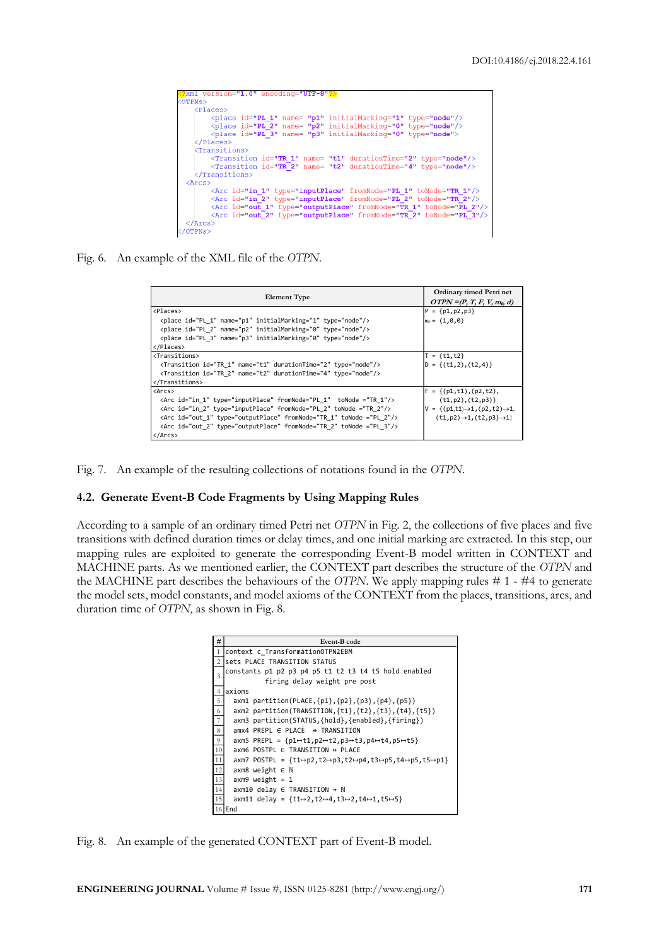```
P<br>TPNs:
     \langlePlaces>
              dcus>><br><place id="PL_1" name= "p1" initialMarking="1" type="node"/><br><place id="PL_2" name= "p2" initialMarking="0" type="node"/><br><place id="PL_3" name= "p3" initialMarking="0" type="node">
      \langle/Places>
      unsition id="TR_1" name= "t1" durationTime="2" type="node"/><br><Transition id="TR_2" name= "t2" durationTime="4" type="node"/>
     </Transitions>
\langle \text{Arcs} \rangle><br>
<Arc id="in_1" type="inputPlace" fromNode="PL_1" toNode="TR_1"/><br>
<Arc id="in_2" type="inputPlace" fromNode="PL_2" toNode="TR_2"/><br>
<Arc id="out_1" type="outputPlace" fromNode="TR_1" toNode="PL_2"/><br>
<Arc id="out_2" typ
 \langleArcs>
OTPNs>
```
Fig. 6. An example of the XML file of the *OTPN*.

| <b>Element Type</b>                                                        | Ordinary timed Petri net<br>$OTPN = (P, T, F, V, m_0, d)$ |  |  |
|----------------------------------------------------------------------------|-----------------------------------------------------------|--|--|
| <places></places>                                                          | $ P = \{p1, p2, p3\}$                                     |  |  |
| <place id="PL 1" initialmarking="1" name="p1" type="node"></place>         | $m_0 = (1, 0, 0)$                                         |  |  |
| <place id="PL 2" initialmarking="0" name="p2" type="node"></place>         |                                                           |  |  |
| <place id="PL 3" initialmarking="0" name="p3" type="node"></place>         |                                                           |  |  |
|                                                                            |                                                           |  |  |
| <transitions></transitions>                                                | $T = {t1, t2}$                                            |  |  |
| <transition durationtime="2" id="TR 1" name="t1" type="node"></transition> | $ D = \{(t1,2), (t2,4)\}\$                                |  |  |
| <transition durationtime="4" id="TR 2" name="t2" type="node"></transition> |                                                           |  |  |
|                                                                            |                                                           |  |  |
| <arcs></arcs>                                                              | $F = \{(p1, t1), (p2, t2),$                               |  |  |
| <arc fromnode="PL 1" id="in 1" tonode="TR 1" type="inputPlace"></arc>      | (t1,p2), (t2,p3)                                          |  |  |
| <arc fromnode="PL 2" id="in 2" tonode="TR 2" type="inputPlace"></arc>      | $V = \{(p1,t1) \rightarrow 1, (p2,t2) \rightarrow 1,$     |  |  |
| <arc fromnode="TR 1" id="out 1" tonode="PL 2" type="outputPlace"></arc>    | $(t1, p2) \rightarrow 1, (t2, p3) \rightarrow 1$          |  |  |
| <arc fromnode="TR 2" id="out 2" tonode="PL 3" type="outputPlace"></arc>    |                                                           |  |  |
|                                                                            |                                                           |  |  |

Fig. 7. An example of the resulting collections of notations found in the *OTPN*.

## **4.2. Generate Event-B Code Fragments by Using Mapping Rules**

According to a sample of an ordinary timed Petri net *OTPN* in Fig. 2, the collections of five places and five transitions with defined duration times or delay times, and one initial marking are extracted. In this step, our mapping rules are exploited to generate the corresponding Event-B model written in CONTEXT and MACHINE parts. As we mentioned earlier, the CONTEXT part describes the structure of the *OTPN* and the MACHINE part describes the behaviours of the *OTPN*. We apply mapping rules # 1 - #4 to generate the model sets, model constants, and model axioms of the CONTEXT from the places, transitions, arcs, and duration time of *OTPN*, as shown in Fig. 8.

| #                | Event-B code                                                                                                   |  |  |  |  |  |  |
|------------------|----------------------------------------------------------------------------------------------------------------|--|--|--|--|--|--|
| $\mathbf{1}$     | context c TransformationOTPN2EBM                                                                               |  |  |  |  |  |  |
|                  | 2 sets PLACE TRANSITION STATUS                                                                                 |  |  |  |  |  |  |
| 3                | constants p1 p2 p3 p4 p5 t1 t2 t3 t4 t5 hold enabled                                                           |  |  |  |  |  |  |
|                  | firing delay weight pre post                                                                                   |  |  |  |  |  |  |
| $\overline{4}$   | axioms                                                                                                         |  |  |  |  |  |  |
| 5                | axm1 partition(PLACE,{p1},{p2},{p3},{p4},{p5})                                                                 |  |  |  |  |  |  |
| 6                | axm2 partition(TRANSITION, {t1}, {t2}, {t3}, {t4}, {t5})                                                       |  |  |  |  |  |  |
| $\boldsymbol{7}$ | axm3 partition(STATUS,{hold},{enabled},{firing})                                                               |  |  |  |  |  |  |
| 8                | $amx4$ PREPL $\in$ PLACE $\leftrightarrow$ TRANSITION                                                          |  |  |  |  |  |  |
| 9                | axm5 PREPL = ${p1 \rightarrow t1, p2 \rightarrow t2, p3 \rightarrow t3, p4 \rightarrow t4, p5 \rightarrow t5}$ |  |  |  |  |  |  |
| $10\,$           | $axm6$ POSTPL $\in$ TRANSITION $\Leftrightarrow$ PLACE                                                         |  |  |  |  |  |  |
| $11\,$           | axm7 POSTPL = $\{t1 \mapsto p2, t2 \mapsto p3, t2 \mapsto p4, t3 \mapsto p5, t4 \mapsto p5, t5 \mapsto p1\}$   |  |  |  |  |  |  |
| 12               | $axm8$ weight $\in \mathbb{N}$                                                                                 |  |  |  |  |  |  |
| 13               | $axm9$ weight = 1                                                                                              |  |  |  |  |  |  |
| $14\,$           | $axm10$ delay $\in$ TRANSITION $\rightarrow$ N                                                                 |  |  |  |  |  |  |
| 15               | $axm11$ delay = $\{t1\mapsto 2, t2\mapsto 4, t3\mapsto 2, t4\mapsto 1, t5\mapsto 5\}$                          |  |  |  |  |  |  |
|                  | $16$ End                                                                                                       |  |  |  |  |  |  |

Fig. 8. An example of the generated CONTEXT part of Event-B model.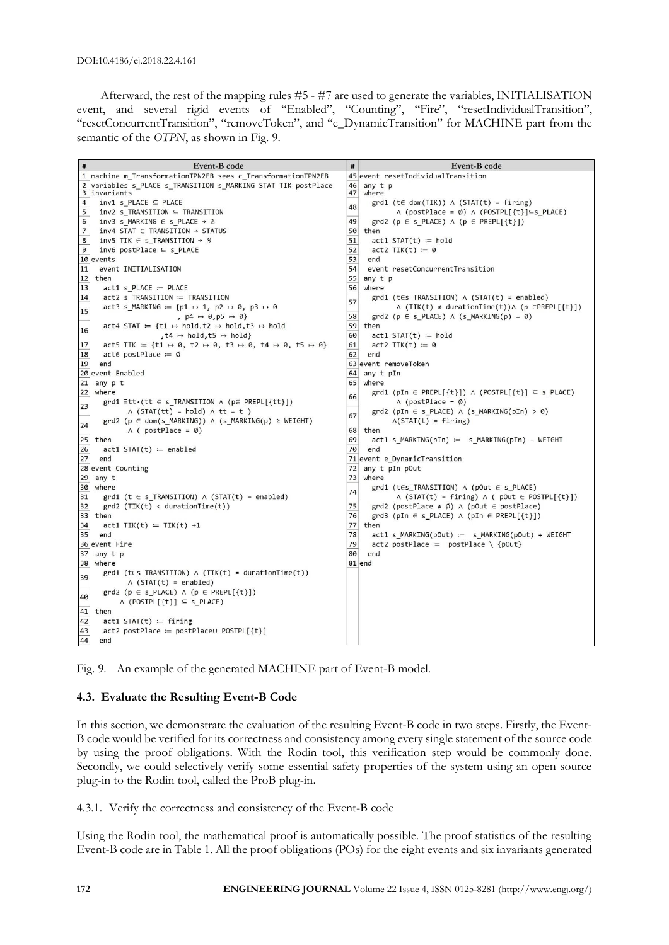Afterward, the rest of the mapping rules #5 - #7 are used to generate the variables, INITIALISATION event, and several rigid events of "Enabled", "Counting", "Fire", "resetIndividualTransition", "resetConcurrentTransition", "removeToken", and "e\_DynamicTransition" for MACHINE part from the semantic of the *OTPN*, as shown in Fig. 9.

| #               | Event-B code                                                                                                                     | #        | Event-B code                                                                 |
|-----------------|----------------------------------------------------------------------------------------------------------------------------------|----------|------------------------------------------------------------------------------|
|                 | 1 machine m_TransformationTPN2EB sees c_TransformationTPN2EB                                                                     |          | 45 event resetIndividualTransition                                           |
|                 | 2 variables s_PLACE s_TRANSITION s_MARKING STAT TIK postPlace<br>3 invariants                                                    | 46<br>47 | any t p<br>where                                                             |
| $\overline{4}$  | $inv1$ s PLACE $\subseteq$ PLACE                                                                                                 |          | $grd1$ (te dom(TIK)) $\land$ (STAT(t) = firing)                              |
| 5               | $inv2$ s_TRANSITION $\subseteq$ TRANSITION                                                                                       | 48       | $\land$ (postPlace = $\emptyset$ ) $\land$ (POSTPL[{t}] $\subseteq$ s_PLACE) |
| 6               | $inv3$ s_MARKING $\in$ s_PLACE $\rightarrow \mathbb{Z}$                                                                          | 49       | grd2 ( $p \in s$ PLACE) $\land$ ( $p \in PREPL[{t}$ ))                       |
| $7\overline{ }$ | $inv4$ STAT $\in$ TRANSITION $\rightarrow$ STATUS                                                                                | 50       | then                                                                         |
| 8               | $inv5$ TIK $\in$ s_TRANSITION $\rightarrow$ N                                                                                    | 51       | $act1$ STAT $(t) := hold$                                                    |
| $\overline{9}$  | $inv6$ postPlace $\subseteq$ s PLACE                                                                                             | 52       | $act2$ TIK(t) = 0                                                            |
|                 | 10 events                                                                                                                        | 53       | end                                                                          |
| 11              | event INITIALISATION                                                                                                             | 54       | event resetConcurrentTransition                                              |
| 12              | then                                                                                                                             | 55       | any t p                                                                      |
| 13              | $act1$ s_PLACE $:=$ PLACE                                                                                                        | 56       | where                                                                        |
| 14              | $act2$ s_TRANSITION $\coloneqq$ TRANSITION                                                                                       | 57       | $grd1$ (tes_TRANSITION) $\land$ (STAT(t) = enabled)                          |
| 15              | act3 s MARKING $:= \{p1 \mapsto 1, p2 \mapsto 0, p3 \mapsto 0$                                                                   |          | $\land$ (TIK(t) $\neq$ durationTime(t)) $\land$ (p $\in$ PREPL[{t}])         |
|                 | $p4 \mapsto \emptyset$ , p5 $\mapsto \emptyset$                                                                                  | 58       | grd2 ( $p \in s$ _PLACE) $\land$ ( $s$ _MARKING( $p$ ) = 0)                  |
| 16              | $act4$ STAT $:= \{t1 \mapsto hold, t2 \mapsto hold, t3 \mapsto hold$                                                             | 59       | then                                                                         |
|                 | $, t4 \mapsto \text{hold}, t5 \mapsto \text{hold}$                                                                               | 60       | $act1$ STAT $(t) := hold$                                                    |
| 17              | act5 TIK = {t1 $\mapsto$ 0, t2 $\mapsto$ 0, t3 $\mapsto$ 0, t4 $\mapsto$ 0, t5 $\mapsto$ 0}                                      | 61       | $act2$ TIK(t) $\coloneqq \emptyset$                                          |
| 18              | $act6 postPlace = \emptyset$                                                                                                     | 62       | end                                                                          |
| 19              | end                                                                                                                              |          | 63 event removeToken                                                         |
|                 | 20 event Enabled                                                                                                                 | 64       | any t pIn                                                                    |
| 21              | any p t                                                                                                                          | 65       | where                                                                        |
| 22              | where                                                                                                                            | 66       | grd1 (pIn $\in$ PREPL[{t}]) $\land$ (POSTPL[{t}] $\subseteq$ s PLACE)        |
| 23              | $\text{grd1}\ \exists \text{tt}\cdot(\text{tt} \in \text{s} \text{ TRANSITION} \land (\text{p} \in \text{PREPL}[\{\text{tt}\}])$ |          | $\land$ (postPlace = $\emptyset$ )                                           |
|                 | $\land$ (STAT(tt) = hold) $\land$ tt = t)                                                                                        | 67       | grd2 (pIn $\in$ s_PLACE) $\land$ (s_MARKING(pIn) > 0)                        |
| 24              | $\text{grd2 (p \in dom(s_MARKING))} \wedge (\text{s_MARKING}(p) \geq \text{WEIGHT})$                                             |          | $\Lambda($ STAT $(t)$ = firing)                                              |
|                 | $\wedge$ ( postPlace = $\emptyset$ )                                                                                             | 68       | then                                                                         |
| 25<br>26        | then                                                                                                                             | 69<br>70 | $act1$ s MARKING(pIn) = s MARKING(pIn) - WEIGHT<br>end                       |
| 27              | $act1$ STAT $(t) :=$ enabled<br>end                                                                                              |          | 71 event e_DynamicTransition                                                 |
|                 | 28 event Counting                                                                                                                | 72       | any t pIn pOut                                                               |
| 29              | any t                                                                                                                            | 73       | where                                                                        |
|                 | 30 where                                                                                                                         |          | $grd1$ (tes_TRANSITION) $\land$ (pOut $\in$ s_PLACE)                         |
| 31              | $grd1$ (t $\in$ s_TRANSITION) $\wedge$ (STAT(t) = enabled)                                                                       | 74       | $\land$ (STAT(t) = firing) $\land$ ( pOut $\in$ POSTPL[{t}])                 |
| 32              | $grd2$ (TIK(t) < durationTime(t))                                                                                                | 75       | grd2 (postPlace $\neq \emptyset$ ) $\land$ (pOut $\in$ postPlace)            |
| 33              | then                                                                                                                             | 76       | grd3 (pIn $\in$ s_PLACE) $\land$ (pIn $\in$ PREPL[{t}])                      |
| 34              | $act1$ TIK(t) $:=$ TIK(t) +1                                                                                                     |          | 77 then                                                                      |
| 35              | end                                                                                                                              | 78       | $act1$ s MARKING(pOut) = s MARKING(pOut) + WEIGHT                            |
|                 | 36 event Fire                                                                                                                    | 79       | $act2 postPlace := postPlace \ \{pOut\}$                                     |
| 37              | any t p                                                                                                                          | 80       | end                                                                          |
| 38              | where                                                                                                                            |          | 81 end                                                                       |
| 39              | $grd1$ (t $\epsilon$ s_TRANSITION) $\land$ (TIK(t) = durationTime(t))<br>$\wedge$ (STAT(t) = enabled)                            |          |                                                                              |
| 40              | grd2 ( $p \in s$ PLACE) $\land$ ( $p \in PREPL[{t}]\)$<br>$\land$ (POSTPL[{t}] $\subseteq$ s_PLACE)                              |          |                                                                              |
| 41              | then                                                                                                                             |          |                                                                              |
| 42              | $act1$ STAT(t) = firing                                                                                                          |          |                                                                              |
| 43              | $act2 postPlace = postPlace \cup POSTPL[{}t}]$                                                                                   |          |                                                                              |
| 44              | end                                                                                                                              |          |                                                                              |

Fig. 9. An example of the generated MACHINE part of Event-B model.

# **4.3. Evaluate the Resulting Event-B Code**

In this section, we demonstrate the evaluation of the resulting Event-B code in two steps. Firstly, the Event-B code would be verified for its correctness and consistency among every single statement of the source code by using the proof obligations. With the Rodin tool, this verification step would be commonly done. Secondly, we could selectively verify some essential safety properties of the system using an open source plug-in to the Rodin tool, called the ProB plug-in.

4.3.1. Verify the correctness and consistency of the Event-B code

Using the Rodin tool, the mathematical proof is automatically possible. The proof statistics of the resulting Event-B code are in Table 1. All the proof obligations (POs) for the eight events and six invariants generated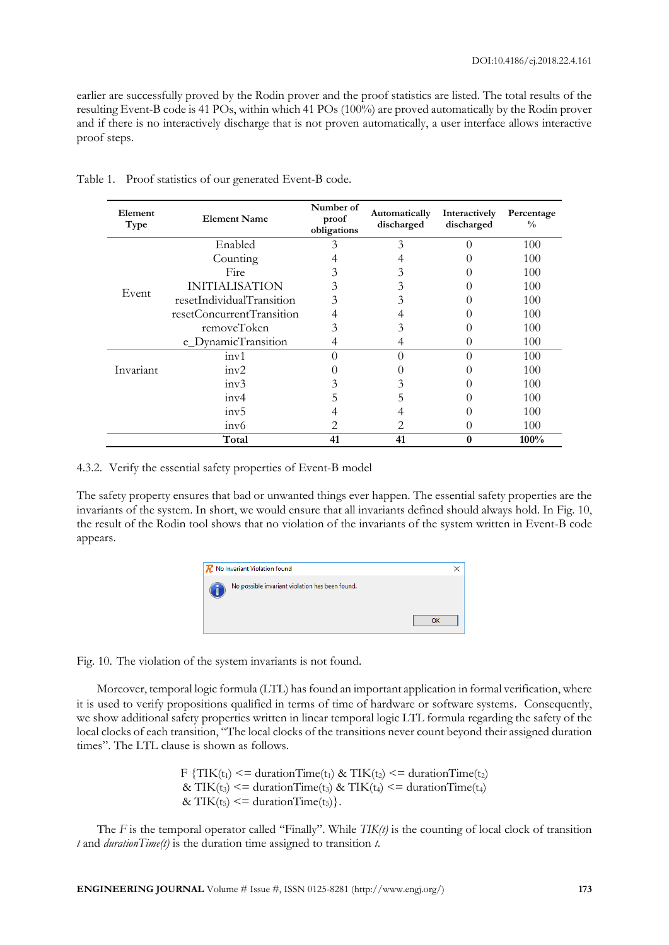earlier are successfully proved by the Rodin prover and the proof statistics are listed. The total results of the resulting Event-B code is 41 POs, within which 41 POs (100%) are proved automatically by the Rodin prover and if there is no interactively discharge that is not proven automatically, a user interface allows interactive proof steps.

| Element<br>Type | <b>Element Name</b>       | Number of<br>proof<br>obligations | Automatically<br>discharged | Interactively<br>discharged | Percentage<br>$\frac{0}{0}$ |
|-----------------|---------------------------|-----------------------------------|-----------------------------|-----------------------------|-----------------------------|
|                 | Enabled                   | 3                                 | 3                           |                             | 100                         |
|                 | Counting                  |                                   |                             |                             | 100                         |
|                 | Fire                      |                                   | 3                           |                             | 100                         |
| Event           | <b>INITIALISATION</b>     | ć                                 | 3                           |                             | 100                         |
|                 | resetIndividualTransition | 3                                 | 3                           |                             | 100                         |
|                 | resetConcurrentTransition |                                   |                             |                             | 100                         |
|                 | removeToken               | 3                                 | 3                           |                             | 100                         |
|                 | e_DynamicTransition       |                                   | 4                           |                             | 100                         |
|                 | inv1                      |                                   |                             | ∩                           | 100                         |
| Invariant       | inv2                      |                                   |                             |                             | 100                         |
|                 | inv3                      |                                   | 3                           |                             | 100                         |
|                 | inv4                      |                                   |                             |                             | 100                         |
|                 | inv5                      |                                   |                             |                             | 100                         |
|                 | inv6                      |                                   | 2                           |                             | 100                         |
|                 | Total                     | 41                                | 41                          | 0                           | 100%                        |

Table 1. Proof statistics of our generated Event-B code.

#### 4.3.2. Verify the essential safety properties of Event-B model

The safety property ensures that bad or unwanted things ever happen. The essential safety properties are the invariants of the system. In short, we would ensure that all invariants defined should always hold. In Fig. 10, the result of the Rodin tool shows that no violation of the invariants of the system written in Event-B code appears.



Fig. 10. The violation of the system invariants is not found.

Moreover, temporal logic formula (LTL) has found an important application in formal verification, where it is used to verify propositions qualified in terms of time of hardware or software systems. Consequently, we show additional safety properties written in linear temporal logic LTL formula regarding the safety of the local clocks of each transition, "The local clocks of the transitions never count beyond their assigned duration times". The LTL clause is shown as follows.

> F {TIK(t<sub>1</sub>) <= durationTime(t<sub>1</sub>) & TIK(t<sub>2</sub>) <= durationTime(t<sub>2</sub>) & TIK(t<sub>3</sub>) <= durationTime(t<sub>3</sub>) & TIK(t<sub>4</sub>) <= durationTime(t<sub>4</sub>) & TIK( $t_5$ ) <= durationTime( $t_5$ ) }.

The *F* is the temporal operator called "Finally". While *TIK(t)* is the counting of local clock of transition *t* and *durationTime(t)* is the duration time assigned to transition *t*.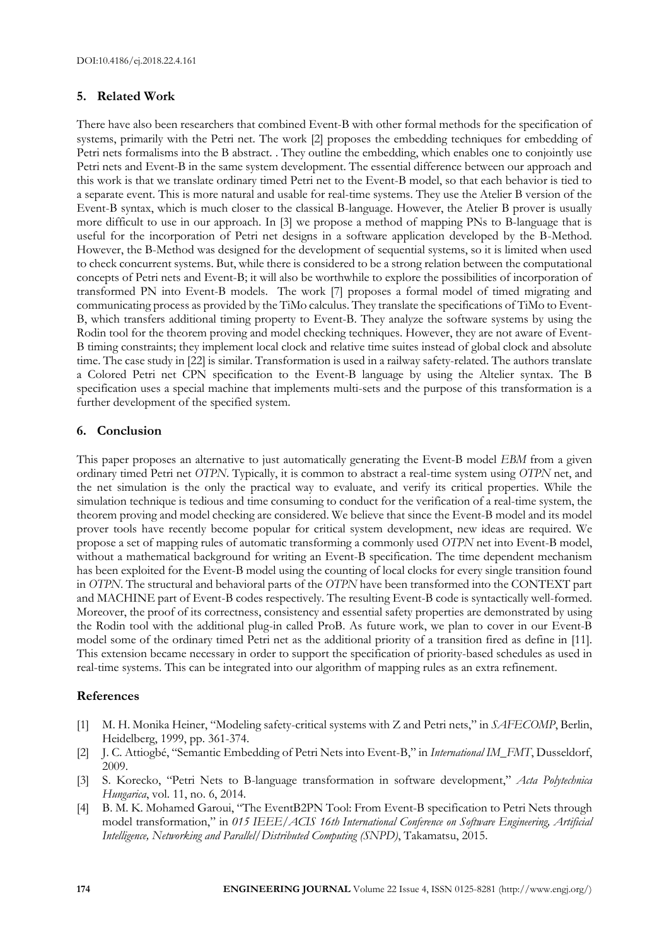# **5. Related Work**

There have also been researchers that combined Event-B with other formal methods for the specification of systems, primarily with the Petri net. The work [2] proposes the embedding techniques for embedding of Petri nets formalisms into the B abstract. . They outline the embedding, which enables one to conjointly use Petri nets and Event-B in the same system development. The essential difference between our approach and this work is that we translate ordinary timed Petri net to the Event-B model, so that each behavior is tied to a separate event. This is more natural and usable for real-time systems. They use the Atelier B version of the Event-B syntax, which is much closer to the classical B-language. However, the Atelier B prover is usually more difficult to use in our approach. In [3] we propose a method of mapping PNs to B-language that is useful for the incorporation of Petri net designs in a software application developed by the B-Method. However, the B-Method was designed for the development of sequential systems, so it is limited when used to check concurrent systems. But, while there is considered to be a strong relation between the computational concepts of Petri nets and Event-B; it will also be worthwhile to explore the possibilities of incorporation of transformed PN into Event-B models. The work [7] proposes a formal model of timed migrating and communicating process as provided by the TiMo calculus. They translate the specifications of TiMo to Event-B, which transfers additional timing property to Event-B. They analyze the software systems by using the Rodin tool for the theorem proving and model checking techniques. However, they are not aware of Event-B timing constraints; they implement local clock and relative time suites instead of global clock and absolute time. The case study i[n \[22\]](#page-14-8) is similar. Transformation is used in a railway safety-related. The authors translate a Colored Petri net CPN specification to the Event-B language by using the Altelier syntax. The B specification uses a special machine that implements multi-sets and the purpose of this transformation is a further development of the specified system.

# **6. Conclusion**

This paper proposes an alternative to just automatically generating the Event-B model *EBM* from a given ordinary timed Petri net *OTPN*. Typically, it is common to abstract a real-time system using *OTPN* net, and the net simulation is the only the practical way to evaluate, and verify its critical properties. While the simulation technique is tedious and time consuming to conduct for the verification of a real-time system, the theorem proving and model checking are considered. We believe that since the Event-B model and its model prover tools have recently become popular for critical system development, new ideas are required. We propose a set of mapping rules of automatic transforming a commonly used *OTPN* net into Event-B model, without a mathematical background for writing an Event-B specification. The time dependent mechanism has been exploited for the Event-B model using the counting of local clocks for every single transition found in *OTPN*. The structural and behavioral parts of the *OTPN* have been transformed into the CONTEXT part and MACHINE part of Event-B codes respectively. The resulting Event-B code is syntactically well-formed. Moreover, the proof of its correctness, consistency and essential safety properties are demonstrated by using the Rodin tool with the additional plug-in called ProB. As future work, we plan to cover in our Event-B model some of the ordinary timed Petri net as the additional priority of a transition fired as define in [11]. This extension became necessary in order to support the specification of priority-based schedules as used in real-time systems. This can be integrated into our algorithm of mapping rules as an extra refinement.

# **References**

- [1] M. H. Monika Heiner, "Modeling safety-critical systems with Z and Petri nets," in *SAFECOMP*, Berlin, Heidelberg, 1999, pp. 361-374.
- [2] J. C. Attiogbé, "Semantic Embedding of Petri Nets into Event-B," in *International IM\_FMT*, Dusseldorf, 2009.
- [3] S. Korecko, "Petri Nets to B-language transformation in software development," *Acta Polytechnica Hungarica*, vol. 11, no. 6, 2014.
- [4] B. M. K. Mohamed Garoui, "The EventB2PN Tool: From Event-B specification to Petri Nets through model transformation," in *015 IEEE/ACIS 16th International Conference on Software Engineering, Artificial Intelligence, Networking and Parallel/Distributed Computing (SNPD)*, Takamatsu, 2015.